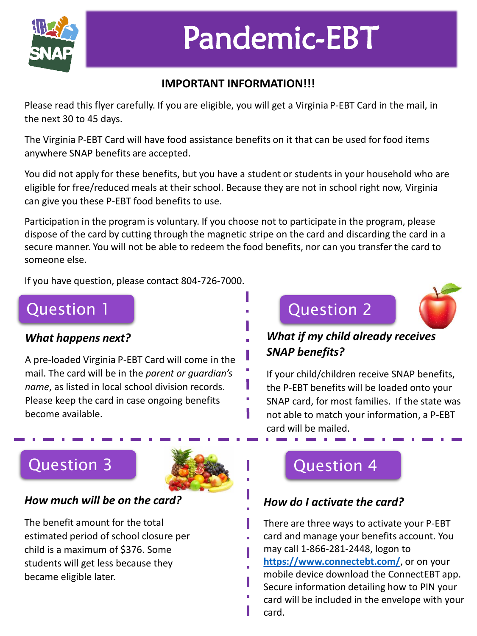

# Pandemic-EBT

### **IMPORTANT INFORMATION!!!**

Please read this flyer carefully. If you are eligible, you will get a Virginia P-EBT Card in the mail, in the next 30 to 45 days.

The Virginia P-EBT Card will have food assistance benefits on it that can be used for food items anywhere SNAP benefits are accepted.

You did not apply for these benefits, but you have a student or students in your household who are eligible for free/reduced meals at their school. Because they are not in school right now, Virginia can give you these P-EBT food benefits to use.

Participation in the program is voluntary. If you choose not to participate in the program, please dispose of the card by cutting through the magnetic stripe on the card and discarding the card in a secure manner. You will not be able to redeem the food benefits, nor can you transfer the card to someone else.

ı

п

If you have question, please contact 804-726-7000.

## Question 1

#### *What happens next?*

A pre-loaded Virginia P-EBT Card will come in the mail. The card will be in the *parent or guardian's name*, as listed in local school division records. Please keep the card in case ongoing benefits become available.

## Question 2



## *What if my child already receives SNAP benefits?*

If your child/children receive SNAP benefits, the P-EBT benefits will be loaded onto your SNAP card, for most families. If the state was not able to match your information, a P-EBT card will be mailed.

## Question 3



#### *How much will be on the card?*

The benefit amount for the total estimated period of school closure per child is a maximum of \$376. Some students will get less because they became eligible later.

## Question 4

### *How do I activate the card?*

There are three ways to activate your P-EBT card and manage your benefits account. You may call 1-866-281-2448, logon to **<https://www.connectebt.com/>**, or on your mobile device download the ConnectEBT app. Secure information detailing how to PIN your card will be included in the envelope with your card.